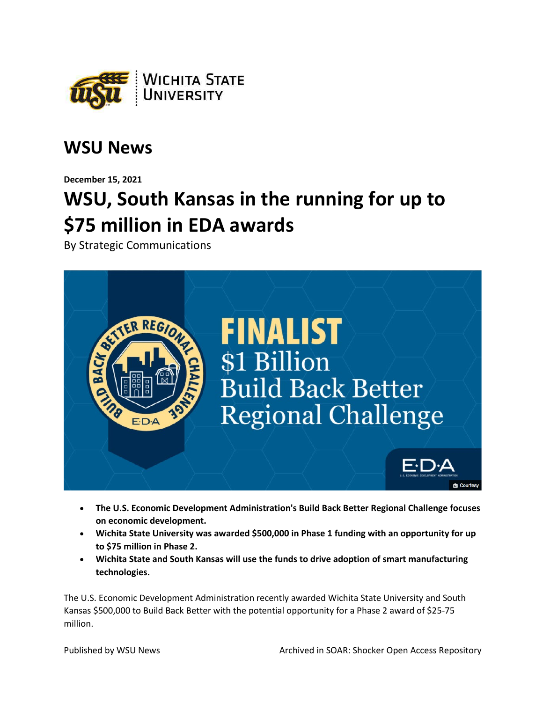

## **WSU News**

**December 15, 2021**

## **WSU, South Kansas in the running for up to \$75 million in EDA awards**

By Strategic Communications



- **The U.S. Economic Development Administration's Build Back Better Regional Challenge focuses on economic development.**
- **Wichita State University was awarded \$500,000 in Phase 1 funding with an opportunity for up to \$75 million in Phase 2.**
- **Wichita State and South Kansas will use the funds to drive adoption of smart manufacturing technologies.**

The U.S. Economic Development Administration recently awarded Wichita State University and South Kansas \$500,000 to Build Back Better with the potential opportunity for a Phase 2 award of \$25-75 million.